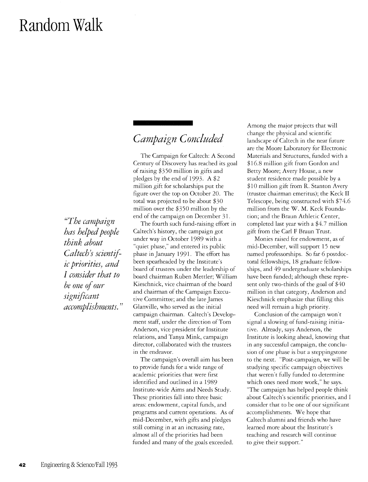# **Random Walk**

## *Campaign Concluded*

The Campaign for Caltech: A Second Century of Discovery has reached its goal of raising \$350 million in gifts and pledges by the end of 1993. A \$2 million gift for scholarships put the figure over the top on October 20. The total was projected to be about \$30 million over the \$350 million by the end of the campaign on December 31.

The fourth such fund-raising effort in Caltech's history, the campaign got under way in October 1989 with a "quiet phase," and entered its public phase in January 1991. The effort has been spearheaded by the Institute's board of trustees under the leadership of board chairman Ruben Mettler; William Kieschnick, vice chairman of the board and chairman of the Campaign Executive Committee; and the late James Glanville, who served as the initial campaign chairman. Caltech's Development staff, under the direction of Tom Anderson, vice president for Institute relations, and Tanya Mink, campaign director, collaborated with the trustees in the endeavor.

The campaign's overall aim has been to provide funds for a wide range of academic priorities that were first identified and outlined in a 1989 Institute-wide Aims and Needs Study. These priorities fall into three basic areas: endowment, capital funds, and programs and current operations. As of mid-December, with gifts and pledges still coming in at an increasing rate, almost all of the priorities had been funded and many of the goals exceeded.

Among the major projects that will change the physical and scientific landscape of Caltech in the near future are the Moore Laboratory for Electronic Materials and Structures, funded with a \$16.8 million gift from Gordon and Betty Moore; Avery House, a new student residence made possible by a \$10 million gift from R. Stanton Avery (trustee chairman emeritus); the Keck II Telescope, being constructed with \$74.6 million from the W. M. Keck Foundation; and the Braun Athletic Center, completed last year with a \$4.7 million gift from the Carl F Braun Trust.

Monies raised for endowment, as of mid-December, will support 15 new named professorships. So far 6 postdoctoral fellowships, 18 graduate fellowships, and 49 undergraduate scholarships have been funded; although these represent only two-thirds of the goal of \$40 million in that category, Anderson and Kieschnick emphasize that filling this need will remain a high priority.

Conclusion of the campaign won't signal a slowing of fund-raising initiative. Already, says Anderson, the Institute is looking ahead, knowing that in any successful campaign, the conclusion of one phase is but a steppingstone to the next. "Post-campaign, we will be studying specific campaign objectives that weren't fully funded to determine which ones need more work," he says. "The campaign has helped people think about Caltech's scientific priorities, and I consider that to be one of our significant accomplishments. We hope that Caltech alumni and friends who have learned more about the Institute's teaching and research will continue to give their support."

*{(The campaign has helped people think about*  Caltech's scientif*ic priorities, and I consider that to be one of our significant accomplishments. "*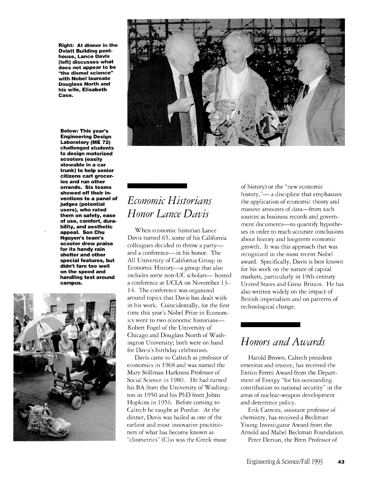**Right: At dinner in the Oviatt Building pent. house, Lance Davis (left) discusses what does not appear to be ''the dismal science" with Nobel laureate Douglass North and his wife, Elisabeth Case.** 

**Below: This year's Engineering Design Laboratory (ME 72) challenged students to design motorized scooters (easily stowable in a car trunk) to help senior citizens cart grocer· ies and run other errands. Six teams showed off their in· ventions to a panel of judges (potential users), who rated them on safety, ease of use, comfort, dura· bility, and aesthetic appeal. Son Chu Nguyen's team's scooter drew praise for its handy rain shelter and other special features, but didn't fare too well on the speed and handling test around campus.** 





## *Economic Historians Honor Lance Davis*

When economic historian Lance Davis turned 65, some of his California colleagues decided to throw a partyand a conference-in his honor. The All University of California Group in Economic History-a group that also includes some non-UC scholars-hosted a conference at UCLA on November 13- 14. The conference was organized around topics that Davis has dealt with in his work. Coincidentally, for the first time this year's Nobel Prize in Economics went to two economic historians-Robert Fogel of the University of Chicago and Douglass North of Washington University; both were on hand for Davis's birthday celebration.

Davis came to Caltech as professor of economics in 1968 and was named the Mary Stillman Harkness Professor of Social Science in 1980. He had earned his BA from the University of Washington in 1950 and his PhD from Johns Hopkins in 1956. Before coming to Caltech he taught at Purdue. At the dinner, Davis was hailed as one of the earliest and most innovative practitioners of what has become known as "cliometrics" (Clio was the Greek muse

of history) or the "new economic history,"— a discipline that emphasizes the application of economic theory and massive amounts of data-from such sources as business records and government documents-to quantify hypotheses in order to reach accurate conclusions about history and longterm economic growth. It was this approach that was recognized in the most recent Nobel award. Specifically, Davis is best known for his work on the nature of capital markets, particularly in 19th-century United States and Great Britain. He has also written widely on the impact of British imperialism and on patterns of technological change.

#### *Honors and Awards*

Harold Brown, Caltech president emeritus and trustee, has received the Enrico Fermi Award from the Departmenr of Energy "for his outstanding contribution to national security" in the areas of nuclear-weapon development and deterrence policy.

Erik Carreira, assistant professor of chemistry, has received a Beckman Young Investigator Award from the Arnold and Mabel Beckman Foundation. Peter Dervan, the Bren Professor of